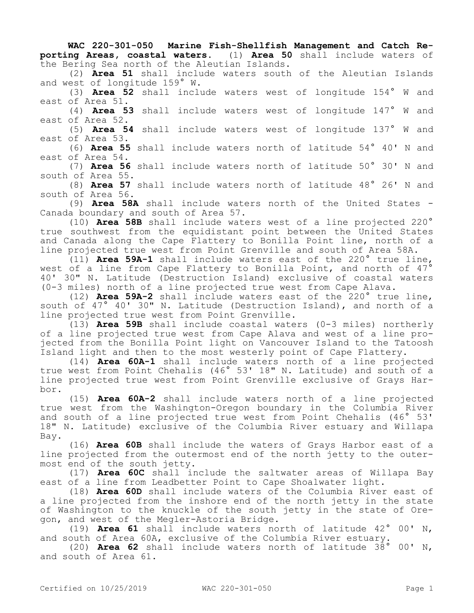**WAC 220-301-050 Marine Fish-Shellfish Management and Catch Reporting Areas, coastal waters.** (1) **Area 50** shall include waters of the Bering Sea north of the Aleutian Islands.

(2) **Area 51** shall include waters south of the Aleutian Islands and west of longitude 159° W.

(3) **Area 52** shall include waters west of longitude 154° W and east of Area 51.

(4) **Area 53** shall include waters west of longitude 147° W and east of Area 52.

(5) **Area 54** shall include waters west of longitude 137° W and east of Area 53.

(6) **Area 55** shall include waters north of latitude 54° 40' N and east of Area 54.

(7) **Area 56** shall include waters north of latitude 50° 30' N and south of Area 55.

(8) **Area 57** shall include waters north of latitude 48° 26' N and south of Area 56.

(9) **Area 58A** shall include waters north of the United States - Canada boundary and south of Area 57.

(10) **Area 58B** shall include waters west of a line projected 220° true southwest from the equidistant point between the United States and Canada along the Cape Flattery to Bonilla Point line, north of a line projected true west from Point Grenville and south of Area 58A.

(11) **Area 59A-1** shall include waters east of the 220° true line, west of a line from Cape Flattery to Bonilla Point, and north of 47<sup>°</sup> 40' 30" N. Latitude (Destruction Island) exclusive of coastal waters (0-3 miles) north of a line projected true west from Cape Alava.

(12) **Area 59A-2** shall include waters east of the 220° true line, south of 47° 40' 30" N. Latitude (Destruction Island), and north of a line projected true west from Point Grenville.

(13) **Area 59B** shall include coastal waters (0-3 miles) northerly of a line projected true west from Cape Alava and west of a line projected from the Bonilla Point light on Vancouver Island to the Tatoosh Island light and then to the most westerly point of Cape Flattery.

(14) **Area 60A-1** shall include waters north of a line projected true west from Point Chehalis (46° 53' 18" N. Latitude) and south of a line projected true west from Point Grenville exclusive of Grays Harbor.

(15) **Area 60A-2** shall include waters north of a line projected true west from the Washington-Oregon boundary in the Columbia River and south of a line projected true west from Point Chehalis (46° 53' 18" N. Latitude) exclusive of the Columbia River estuary and Willapa Bay.

(16) **Area 60B** shall include the waters of Grays Harbor east of a line projected from the outermost end of the north jetty to the outermost end of the south jetty.

(17) **Area 60C** shall include the saltwater areas of Willapa Bay east of a line from Leadbetter Point to Cape Shoalwater light.

(18) **Area 60D** shall include waters of the Columbia River east of a line projected from the inshore end of the north jetty in the state of Washington to the knuckle of the south jetty in the state of Oregon, and west of the Megler-Astoria Bridge.

(19) **Area 61** shall include waters north of latitude 42° 00' N, and south of Area 60A, exclusive of the Columbia River estuary.

(20) **Area 62** shall include waters north of latitude 38° 00' N, and south of Area 61.